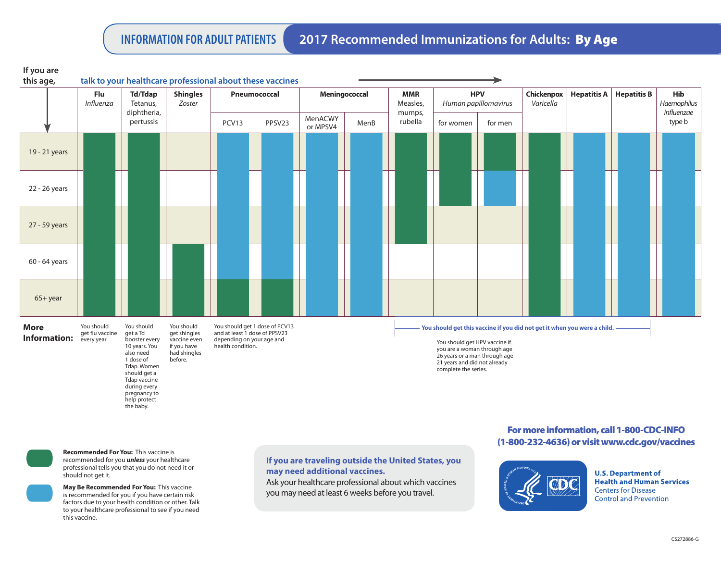**INFORMATION FOR ADULT PATIENTS 2017 Recommended Immunizations for Adults:** By Age

| $11 \text{ y}$<br>this age,        |                                              |                                                                                                                                   |                                                                                      | talk to your healthcare professional about these vaccines                                                         |        |                     |      |                                                                                                                                                                                                                                   |                                    |         |                         |               |                    |                      |  |
|------------------------------------|----------------------------------------------|-----------------------------------------------------------------------------------------------------------------------------------|--------------------------------------------------------------------------------------|-------------------------------------------------------------------------------------------------------------------|--------|---------------------|------|-----------------------------------------------------------------------------------------------------------------------------------------------------------------------------------------------------------------------------------|------------------------------------|---------|-------------------------|---------------|--------------------|----------------------|--|
|                                    | Flu<br>Influenza                             | <b>Td/Tdap</b><br>Tetanus,<br>diphtheria,<br>pertussis                                                                            | <b>Shingles</b><br>Zoster                                                            | Pneumococcal                                                                                                      |        | Meningococcal       |      | <b>MMR</b><br>Measles,                                                                                                                                                                                                            | <b>HPV</b><br>Human papillomavirus |         | Chickenpox<br>Varicella | Hepatitis $A$ | <b>Hepatitis B</b> | Hib<br>Haemophilus   |  |
|                                    |                                              |                                                                                                                                   |                                                                                      | PCV13                                                                                                             | PPSV23 | MenACWY<br>or MPSV4 | MenB | mumps,<br>rubella                                                                                                                                                                                                                 | for women                          | for men |                         |               |                    | influenzae<br>type b |  |
| 19 - 21 years                      |                                              |                                                                                                                                   |                                                                                      |                                                                                                                   |        |                     |      |                                                                                                                                                                                                                                   |                                    |         |                         |               |                    |                      |  |
| 22 - 26 years                      |                                              |                                                                                                                                   |                                                                                      |                                                                                                                   |        |                     |      |                                                                                                                                                                                                                                   |                                    |         |                         |               |                    |                      |  |
| 27 - 59 years                      |                                              |                                                                                                                                   |                                                                                      |                                                                                                                   |        |                     |      |                                                                                                                                                                                                                                   |                                    |         |                         |               |                    |                      |  |
| $60 - 64$ years                    |                                              |                                                                                                                                   |                                                                                      |                                                                                                                   |        |                     |      |                                                                                                                                                                                                                                   |                                    |         |                         |               |                    |                      |  |
| $65 + year$                        |                                              |                                                                                                                                   |                                                                                      |                                                                                                                   |        |                     |      |                                                                                                                                                                                                                                   |                                    |         |                         |               |                    |                      |  |
| <b>More</b><br><b>Information:</b> | You should<br>get flu vaccine<br>every year. | You should<br>get a Td<br>booster every<br>10 years. You<br>also need<br>1 dose of<br>Tdap. Women<br>should get a<br>Tdap vaccine | You should<br>get shingles<br>vaccine even<br>if you have<br>had shingles<br>before. | You should get 1 dose of PCV13<br>and at least 1 dose of PPSV23<br>depending on your age and<br>health condition. |        |                     |      | You should get this vaccine if you did not get it when you were a child.<br>You should get HPV vaccine if<br>you are a woman through age<br>26 years or a man through age<br>21 years and did not already<br>complete the series. |                                    |         |                         |               |                    |                      |  |

**If you are** 

**Recommended For You:** This vaccine is recommended for you *unless* your healthcare professional tells you that you do not need it or should not get it.

during every pregnancy to help protect the baby.

**May Be Recommended For You:** This vaccine is recommended for you if you have certain risk factors due to your health condition or other. Talk to your healthcare professional to see if you need this vaccine.

**If you are traveling outside the United States, you may need additional vaccines.**

Ask your healthcare professional about which vaccines you may need at least 6 weeks before you travel.

## For more information, call 1-800-CDC-INFO (1-800-232-4636) or visit www.cdc.gov/vaccines



**U.S. Department of Health and Human Services Centers for Disease Control and Prevention**